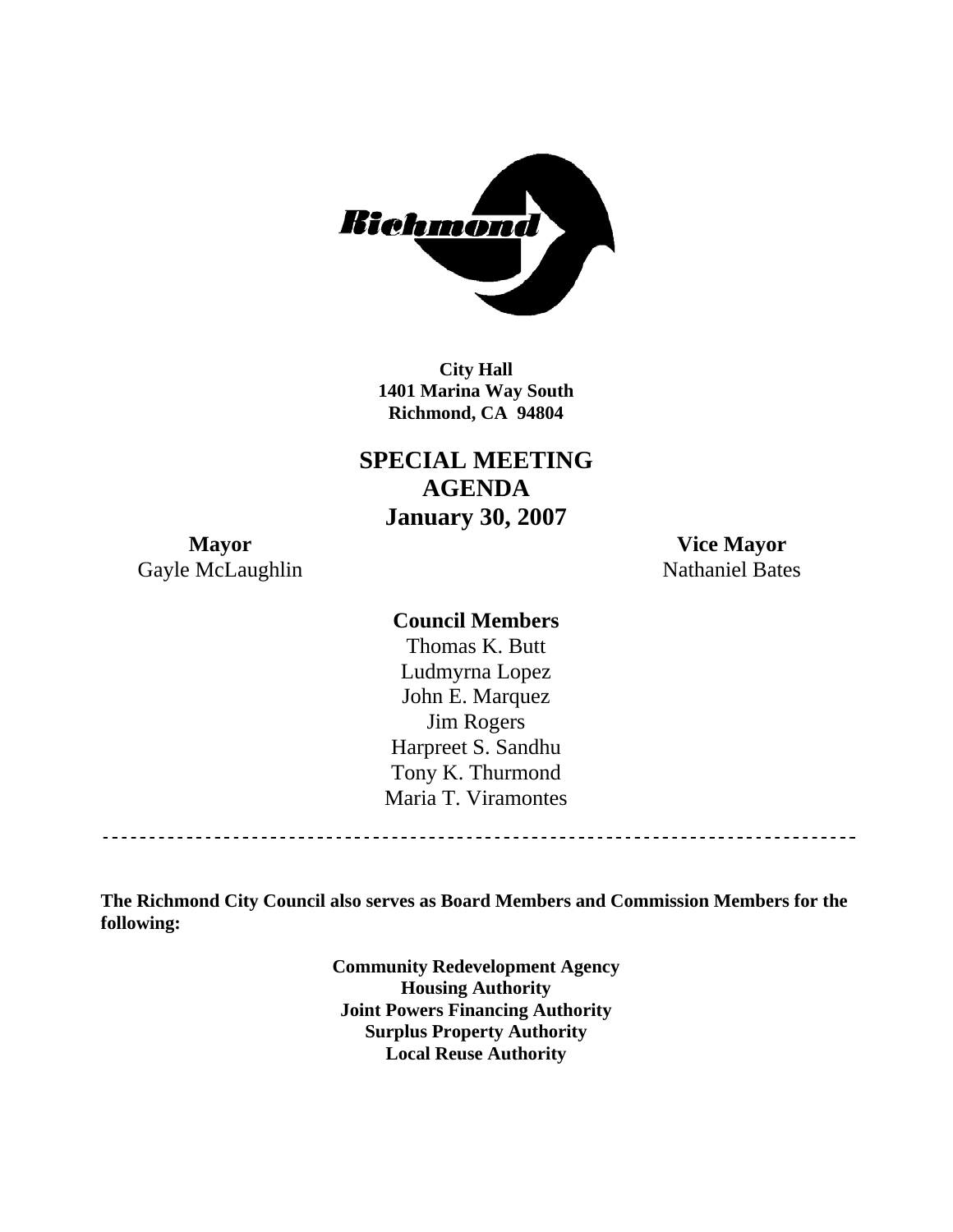

**City Hall 1401 Marina Way South Richmond, CA 94804** 

**SPECIAL MEETING AGENDA January 30, 2007** 

**Mayor Vice Mayor**  Gayle McLaughlin Nathaniel Bates

## **Council Members**

Harpreet S. Sandhu Tony K. Thurmond Maria T. Viramontes Thomas K. Butt Ludmyrna Lopez John E. Marquez Jim Rogers

**The Richmond City Council also serves as Board Members and Commission Members for the following:** 

> **Community Redevelopment Agency Housing Authority Local Reuse Authority Joint Powers Financing Authority Surplus Property Authority**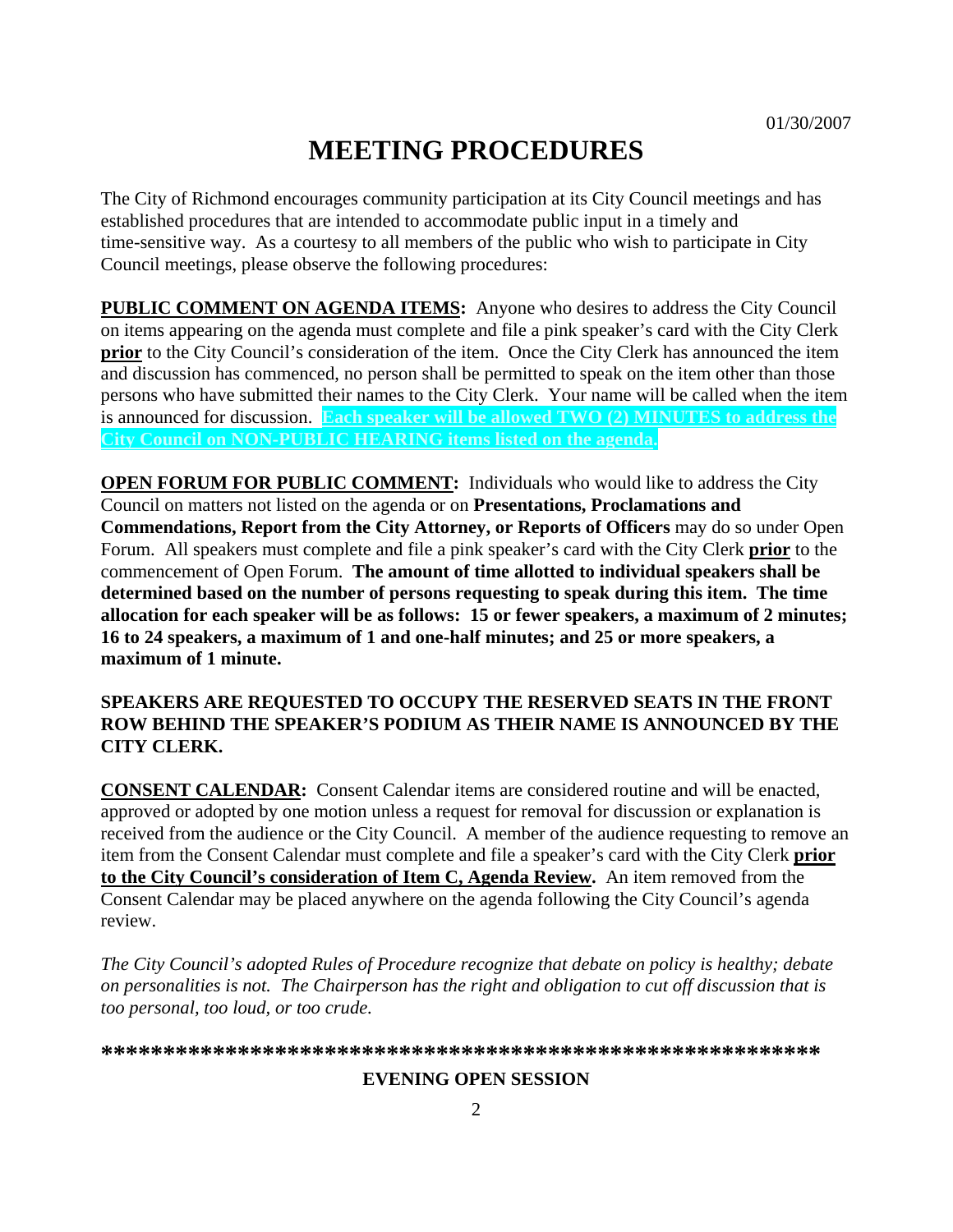# **MEETING PROCEDURES**

The City of Richmond encourages community participation at its City Council meetings and has established procedures that are intended to accommodate public input in a timely and time-sensitive way. As a courtesy to all members of the public who wish to participate in City Council meetings, please observe the following procedures:

**PUBLIC COMMENT ON AGENDA ITEMS:** Anyone who desires to address the City Council on items appearing on the agenda must complete and file a pink speaker's card with the City Clerk **prior** to the City Council's consideration of the item. Once the City Clerk has announced the item and discussion has commenced, no person shall be permitted to speak on the item other than those persons who have submitted their names to the City Clerk. Your name will be called when the item is announced for discussion. **Each speaker will be allowed TWO (2) MINUTES to address the City Council on NON-PUBLIC HEARING items listed on the agenda.** 

**OPEN FORUM FOR PUBLIC COMMENT:** Individuals who would like to address the City Council on matters not listed on the agenda or on **Presentations, Proclamations and Commendations, Report from the City Attorney, or Reports of Officers** may do so under Open Forum. All speakers must complete and file a pink speaker's card with the City Clerk **prior** to the commencement of Open Forum. **The amount of time allotted to individual speakers shall be determined based on the number of persons requesting to speak during this item. The time allocation for each speaker will be as follows: 15 or fewer speakers, a maximum of 2 minutes; 16 to 24 speakers, a maximum of 1 and one-half minutes; and 25 or more speakers, a maximum of 1 minute.** 

#### **SPEAKERS ARE REQUESTED TO OCCUPY THE RESERVED SEATS IN THE FRONT ROW BEHIND THE SPEAKER'S PODIUM AS THEIR NAME IS ANNOUNCED BY THE CITY CLERK.**

**CONSENT CALENDAR:** Consent Calendar items are considered routine and will be enacted, approved or adopted by one motion unless a request for removal for discussion or explanation is received from the audience or the City Council. A member of the audience requesting to remove an item from the Consent Calendar must complete and file a speaker's card with the City Clerk **prior to the City Council's consideration of Item C, Agenda Review.** An item removed from the Consent Calendar may be placed anywhere on the agenda following the City Council's agenda review.

The City Council's adopted Rules of Procedure recognize that debate on policy is healthy; debate *on personalities is not. The Chairperson has the right and obligation to cut off discussion that is too personal, too loud, or too crude.* 

**\*\*\*\*\*\*\*\*\*\*\*\*\*\*\*\*\*\*\*\*\*\*\*\*\*\*\*\*\*\*\*\*\*\*\*\*\*\*\*\*\*\*\*\*\*\*\*\*\*\*\*\*\*\*\*\*\*\***

#### **EVENING OPEN SESSION**